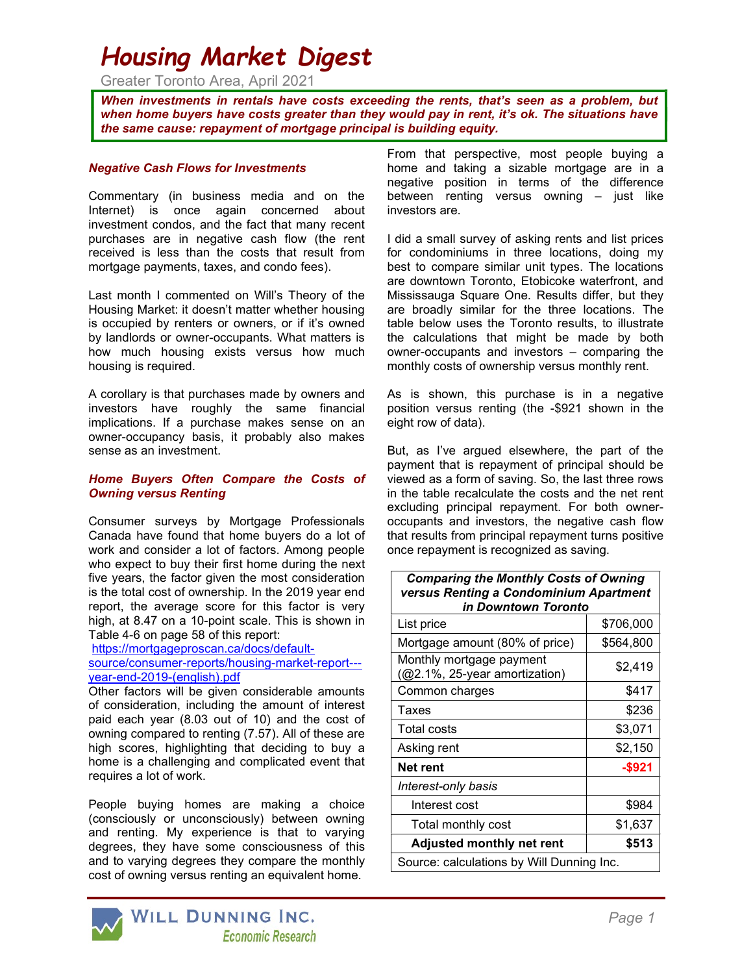# Housing Market Digest

Greater Toronto Area, April 2021

When investments in rentals have costs exceeding the rents, that's seen as a problem, but when home buyers have costs greater than they would pay in rent, it's ok. The situations have the same cause: repayment of mortgage principal is building equity.

## Negative Cash Flows for Investments

Commentary (in business media and on the Internet) is once again concerned about investment condos, and the fact that many recent purchases are in negative cash flow (the rent received is less than the costs that result from mortgage payments, taxes, and condo fees).

Last month I commented on Will's Theory of the Housing Market: it doesn't matter whether housing is occupied by renters or owners, or if it's owned by landlords or owner-occupants. What matters is how much housing exists versus how much housing is required.

A corollary is that purchases made by owners and investors have roughly the same financial implications. If a purchase makes sense on an owner-occupancy basis, it probably also makes sense as an investment.

#### Home Buyers Often Compare the Costs of Owning versus Renting

Consumer surveys by Mortgage Professionals Canada have found that home buyers do a lot of work and consider a lot of factors. Among people who expect to buy their first home during the next five years, the factor given the most consideration is the total cost of ownership. In the 2019 year end report, the average score for this factor is very high, at 8.47 on a 10-point scale. This is shown in Table 4-6 on page 58 of this report:

https://mortgageproscan.ca/docs/defaultsource/consumer-reports/housing-market-report-- year-end-2019-(english).pdf

Other factors will be given considerable amounts of consideration, including the amount of interest paid each year (8.03 out of 10) and the cost of owning compared to renting (7.57). All of these are high scores, highlighting that deciding to buy a home is a challenging and complicated event that requires a lot of work.

People buying homes are making a choice (consciously or unconsciously) between owning and renting. My experience is that to varying degrees, they have some consciousness of this and to varying degrees they compare the monthly cost of owning versus renting an equivalent home.

From that perspective, most people buying a home and taking a sizable mortgage are in a negative position in terms of the difference between renting versus owning – just like investors are.

I did a small survey of asking rents and list prices for condominiums in three locations, doing my best to compare similar unit types. The locations are downtown Toronto, Etobicoke waterfront, and Mississauga Square One. Results differ, but they are broadly similar for the three locations. The table below uses the Toronto results, to illustrate the calculations that might be made by both owner-occupants and investors – comparing the monthly costs of ownership versus monthly rent.

As is shown, this purchase is in a negative position versus renting (the -\$921 shown in the eight row of data).

But, as I've argued elsewhere, the part of the payment that is repayment of principal should be viewed as a form of saving. So, the last three rows in the table recalculate the costs and the net rent excluding principal repayment. For both owneroccupants and investors, the negative cash flow that results from principal repayment turns positive once repayment is recognized as saving.

Comparing the Monthly Costs of Owning

| versus Renting a Condominium Apartment<br>in Downtown Toronto |           |
|---------------------------------------------------------------|-----------|
| List price                                                    | \$706,000 |
| Mortgage amount (80% of price)                                | \$564,800 |
| Monthly mortgage payment<br>(@2.1%, 25-year amortization)     | \$2,419   |
| Common charges                                                | \$417     |
| Taxes                                                         | \$236     |
| <b>Total costs</b>                                            | \$3,071   |
| Asking rent                                                   | \$2,150   |
| Net rent                                                      | -\$921    |
| Interest-only basis                                           |           |
| Interest cost                                                 | \$984     |
| Total monthly cost                                            | \$1,637   |
| <b>Adjusted monthly net rent</b>                              | \$513     |
| Source: calculations by Will Dunning Inc.                     |           |